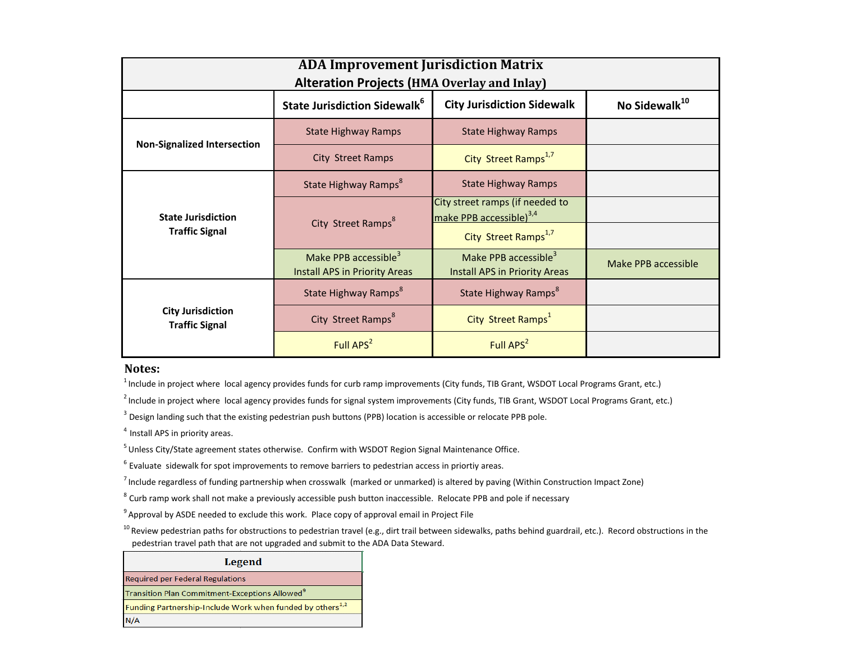| <b>ADA Improvement Jurisdiction Matrix</b><br><b>Alteration Projects (HMA Overlay and Inlay)</b> |                                                                          |                                                                          |                           |  |
|--------------------------------------------------------------------------------------------------|--------------------------------------------------------------------------|--------------------------------------------------------------------------|---------------------------|--|
|                                                                                                  | <b>State Jurisdiction Sidewalk<sup>6</sup></b>                           | <b>City Jurisdiction Sidewalk</b>                                        | No Sidewalk <sup>10</sup> |  |
| <b>Non-Signalized Intersection</b>                                                               | <b>State Highway Ramps</b>                                               | <b>State Highway Ramps</b>                                               |                           |  |
|                                                                                                  | City Street Ramps                                                        | City Street Ramps <sup>1,7</sup>                                         |                           |  |
| <b>State Jurisdiction</b><br><b>Traffic Signal</b>                                               | State Highway Ramps <sup>8</sup>                                         | <b>State Highway Ramps</b>                                               |                           |  |
|                                                                                                  | City Street Ramps <sup>8</sup>                                           | City street ramps (if needed to<br>make PPB accessible) <sup>3,4</sup>   |                           |  |
|                                                                                                  |                                                                          | City Street Ramps <sup>1,7</sup>                                         |                           |  |
|                                                                                                  | Make PPB accessible <sup>3</sup><br><b>Install APS in Priority Areas</b> | Make PPB accessible <sup>3</sup><br><b>Install APS in Priority Areas</b> | Make PPB accessible       |  |
| <b>City Jurisdiction</b><br><b>Traffic Signal</b>                                                | State Highway Ramps <sup>8</sup>                                         | State Highway Ramps <sup>8</sup>                                         |                           |  |
|                                                                                                  | City Street Ramps <sup>8</sup>                                           | City Street Ramps <sup>1</sup>                                           |                           |  |
|                                                                                                  | Full APS <sup>2</sup>                                                    | Full APS <sup>2</sup>                                                    |                           |  |

## **Notes:**

 $<sup>1</sup>$  Include in project where local agency provides funds for curb ramp improvements (City funds, TIB Grant, WSDOT Local Programs Grant, etc.)</sup>

 $<sup>2</sup>$  Include in project where local agency provides funds for signal system improvements (City funds, TIB Grant, WSDOT Local Programs Grant, etc.)</sup>

<sup>3</sup> Design landing such that the existing pedestrian push buttons (PPB) location is accessible or relocate PPB pole.

 $4$  Install APS in priority areas.

 $5$  Unless City/State agreement states otherwise. Confirm with WSDOT Region Signal Maintenance Office.

 $6$  Evaluate sidewalk for spot improvements to remove barriers to pedestrian access in priortiy areas.

 $<sup>7</sup>$  Include regardless of funding partnership when crosswalk (marked or unmarked) is altered by paving (Within Construction Impact Zone)</sup>

<sup>8</sup> Curb ramp work shall not make a previously accessible push button inaccessible. Relocate PPB and pole if necessary

<sup>9</sup> Approval by ASDE needed to exclude this work. Place copy of approval email in Project File

<sup>10</sup> Review pedestrian paths for obstructions to pedestrian travel (e.g., dirt trail between sidewalks, paths behind guardrail, etc.). Record obstructions in the pedestrian travel path that are not upgraded and submit to the ADA Data Steward.

## **Legend**

**Required per Federal Regulations** 

Transition Plan Commitment-Exceptions Allowed<sup>9</sup>

Funding Partnership-Include Work when funded by others<sup>1,2</sup>

 $N/A$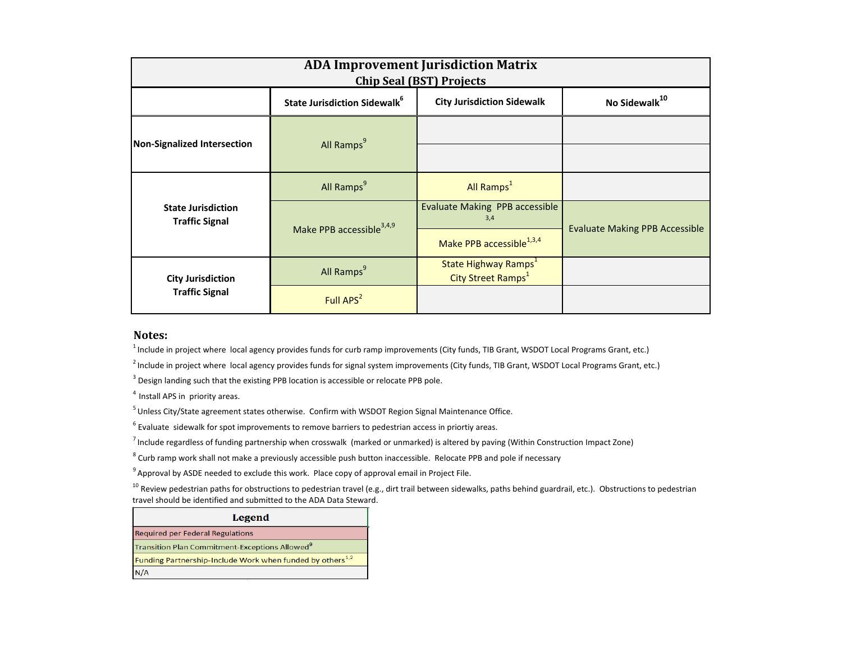| <b>ADA Improvement Jurisdiction Matrix</b><br><b>Chip Seal (BST) Projects</b> |                                                 |                                                                    |                                       |  |  |
|-------------------------------------------------------------------------------|-------------------------------------------------|--------------------------------------------------------------------|---------------------------------------|--|--|
|                                                                               | <b>State Jurisdiction Sidewalk</b> <sup>6</sup> | <b>City Jurisdiction Sidewalk</b>                                  | No Sidewalk <sup>10</sup>             |  |  |
| <b>Non-Signalized Intersection</b>                                            | All Ramps <sup>9</sup>                          |                                                                    |                                       |  |  |
|                                                                               |                                                 |                                                                    |                                       |  |  |
| <b>State Jurisdiction</b><br><b>Traffic Signal</b>                            | All Ramps <sup>9</sup>                          | All Ramps <sup>1</sup>                                             |                                       |  |  |
|                                                                               | Make PPB accessible <sup>3,4,9</sup>            | Evaluate Making PPB accessible<br>3,4                              | <b>Evaluate Making PPB Accessible</b> |  |  |
|                                                                               |                                                 | Make PPB accessible <sup>1,3,4</sup>                               |                                       |  |  |
| <b>City Jurisdiction</b><br><b>Traffic Signal</b>                             | All Ramps <sup>9</sup>                          | State Highway Ramps <sup>1</sup><br>City Street Ramps <sup>1</sup> |                                       |  |  |
|                                                                               | Full APS <sup>2</sup>                           |                                                                    |                                       |  |  |

## **Notes:**

 $1$ Include in project where local agency provides funds for curb ramp improvements (City funds, TIB Grant, WSDOT Local Programs Grant, etc.)

<sup>2</sup> Include in project where local agency provides funds for signal system improvements (City funds, TIB Grant, WSDOT Local Programs Grant, etc.)

 $3$  Design landing such that the existing PPB location is accessible or relocate PPB pole.

 $4$  Install APS in priority areas.

 $5$  Unless City/State agreement states otherwise. Confirm with WSDOT Region Signal Maintenance Office.

 $6$  Evaluate sidewalk for spot improvements to remove barriers to pedestrian access in priortiy areas.

 $^7$  Include regardless of funding partnership when crosswalk (marked or unmarked) is altered by paving (Within Construction Impact Zone)

<sup>8</sup> Curb ramp work shall not make a previously accessible push button inaccessible. Relocate PPB and pole if necessary

<sup>9</sup> Approval by ASDE needed to exclude this work. Place copy of approval email in Project File.

<sup>10</sup> Review pedestrian paths for obstructions to pedestrian travel (e.g., dirt trail between sidewalks, paths behind guardrail, etc.). Obstructions to pedestrian travel should be identified and submitted to the ADA Data Steward.

| Legend                                                                |  |  |
|-----------------------------------------------------------------------|--|--|
| <b>Required per Federal Regulations</b>                               |  |  |
| Transition Plan Commitment-Exceptions Allowed <sup>9</sup>            |  |  |
| Funding Partnership-Include Work when funded by others <sup>1,2</sup> |  |  |
| N/A                                                                   |  |  |